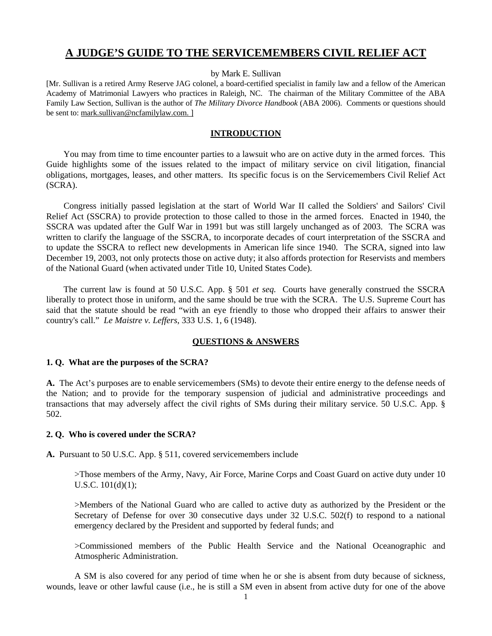# **A JUDGE'S GUIDE TO THE SERVICEMEMBERS CIVIL RELIEF ACT**

by Mark E. Sullivan

[Mr. Sullivan is a retired Army Reserve JAG colonel, a board-certified specialist in family law and a fellow of the American Academy of Matrimonial Lawyers who practices in Raleigh, NC. The chairman of the Military Committee of the ABA Family Law Section, Sullivan is the author of *The Military Divorce Handbook* (ABA 2006). Comments or questions should be sent to: mark.sullivan@ncfamilylaw.com. ]

#### **INTRODUCTION**

 You may from time to time encounter parties to a lawsuit who are on active duty in the armed forces. This Guide highlights some of the issues related to the impact of military service on civil litigation, financial obligations, mortgages, leases, and other matters. Its specific focus is on the Servicemembers Civil Relief Act (SCRA).

 Congress initially passed legislation at the start of World War II called the Soldiers' and Sailors' Civil Relief Act (SSCRA) to provide protection to those called to those in the armed forces. Enacted in 1940, the SSCRA was updated after the Gulf War in 1991 but was still largely unchanged as of 2003. The SCRA was written to clarify the language of the SSCRA, to incorporate decades of court interpretation of the SSCRA and to update the SSCRA to reflect new developments in American life since 1940. The SCRA, signed into law December 19, 2003, not only protects those on active duty; it also affords protection for Reservists and members of the National Guard (when activated under Title 10, United States Code).

 The current law is found at 50 U.S.C. App. § 501 *et seq.* Courts have generally construed the SSCRA liberally to protect those in uniform, and the same should be true with the SCRA. The U.S. Supreme Court has said that the statute should be read "with an eye friendly to those who dropped their affairs to answer their country's call." *Le Maistre v. Leffers*, 333 U.S. 1, 6 (1948).

#### **QUESTIONS & ANSWERS**

#### **1. Q. What are the purposes of the SCRA?**

**A.** The Act's purposes are to enable servicemembers (SMs) to devote their entire energy to the defense needs of the Nation; and to provide for the temporary suspension of judicial and administrative proceedings and transactions that may adversely affect the civil rights of SMs during their military service. 50 U.S.C. App. § 502.

#### **2. Q. Who is covered under the SCRA?**

**A.** Pursuant to 50 U.S.C. App. § 511, covered servicemembers include

>Those members of the Army, Navy, Air Force, Marine Corps and Coast Guard on active duty under 10 U.S.C. 101(d)(1);

>Members of the National Guard who are called to active duty as authorized by the President or the Secretary of Defense for over 30 consecutive days under 32 U.S.C. 502(f) to respond to a national emergency declared by the President and supported by federal funds; and

>Commissioned members of the Public Health Service and the National Oceanographic and Atmospheric Administration.

A SM is also covered for any period of time when he or she is absent from duty because of sickness, wounds, leave or other lawful cause (i.e., he is still a SM even in absent from active duty for one of the above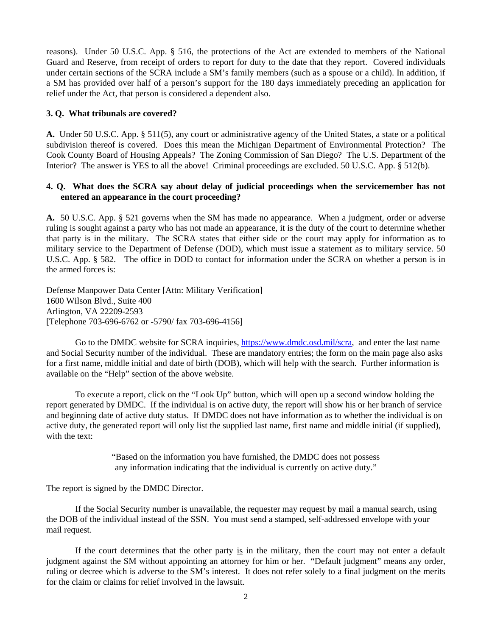reasons). Under 50 U.S.C. App. § 516, the protections of the Act are extended to members of the National Guard and Reserve, from receipt of orders to report for duty to the date that they report. Covered individuals under certain sections of the SCRA include a SM's family members (such as a spouse or a child). In addition, if a SM has provided over half of a person's support for the 180 days immediately preceding an application for relief under the Act, that person is considered a dependent also.

# **3. Q. What tribunals are covered?**

**A.** Under 50 U.S.C. App. § 511(5), any court or administrative agency of the United States, a state or a political subdivision thereof is covered. Does this mean the Michigan Department of Environmental Protection? The Cook County Board of Housing Appeals? The Zoning Commission of San Diego? The U.S. Department of the Interior? The answer is YES to all the above! Criminal proceedings are excluded. 50 U.S.C. App. § 512(b).

# **4. Q. What does the SCRA say about delay of judicial proceedings when the servicemember has not entered an appearance in the court proceeding?**

**A.** 50 U.S.C. App. § 521 governs when the SM has made no appearance. When a judgment, order or adverse ruling is sought against a party who has not made an appearance, it is the duty of the court to determine whether that party is in the military. The SCRA states that either side or the court may apply for information as to military service to the Department of Defense (DOD), which must issue a statement as to military service. 50 U.S.C. App. § 582. The office in DOD to contact for information under the SCRA on whether a person is in the armed forces is:

Defense Manpower Data Center [Attn: Military Verification] 1600 Wilson Blvd., Suite 400 Arlington, VA 22209-2593 [Telephone 703-696-6762 or -5790/ fax 703-696-4156]

Go to the DMDC website for SCRA inquiries,<https://www.dmdc.osd.mil/scra>, and enter the last name and Social Security number of the individual. These are mandatory entries; the form on the main page also asks for a first name, middle initial and date of birth (DOB), which will help with the search. Further information is available on the "Help" section of the above website.

To execute a report, click on the "Look Up" button, which will open up a second window holding the report generated by DMDC. If the individual is on active duty, the report will show his or her branch of service and beginning date of active duty status. If DMDC does not have information as to whether the individual is on active duty, the generated report will only list the supplied last name, first name and middle initial (if supplied), with the text:

> "Based on the information you have furnished, the DMDC does not possess any information indicating that the individual is currently on active duty."

The report is signed by the DMDC Director.

If the Social Security number is unavailable, the requester may request by mail a manual search, using the DOB of the individual instead of the SSN. You must send a stamped, self-addressed envelope with your mail request.

If the court determines that the other party is in the military, then the court may not enter a default judgment against the SM without appointing an attorney for him or her. "Default judgment" means any order, ruling or decree which is adverse to the SM's interest. It does not refer solely to a final judgment on the merits for the claim or claims for relief involved in the lawsuit.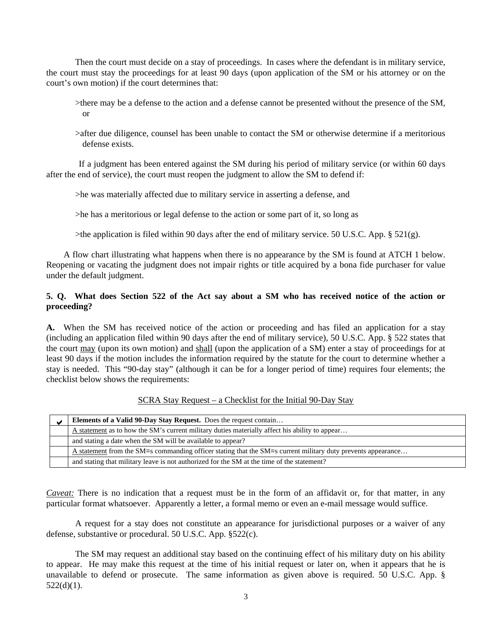Then the court must decide on a stay of proceedings. In cases where the defendant is in military service, the court must stay the proceedings for at least 90 days (upon application of the SM or his attorney or on the court's own motion) if the court determines that:

- >there may be a defense to the action and a defense cannot be presented without the presence of the SM, or
- >after due diligence, counsel has been unable to contact the SM or otherwise determine if a meritorious defense exists.

If a judgment has been entered against the SM during his period of military service (or within 60 days after the end of service), the court must reopen the judgment to allow the SM to defend if:

>he was materially affected due to military service in asserting a defense, and

>he has a meritorious or legal defense to the action or some part of it, so long as

>the application is filed within 90 days after the end of military service. 50 U.S.C. App. § 521(g).

 A flow chart illustrating what happens when there is no appearance by the SM is found at ATCH 1 below. Reopening or vacating the judgment does not impair rights or title acquired by a bona fide purchaser for value under the default judgment.

#### **5. Q. What does Section 522 of the Act say about a SM who has received notice of the action or proceeding?**

**A.** When the SM has received notice of the action or proceeding and has filed an application for a stay (including an application filed within 90 days after the end of military service), 50 U.S.C. App. § 522 states that the court may (upon its own motion) and shall (upon the application of a SM) enter a stay of proceedings for at least 90 days if the motion includes the information required by the statute for the court to determine whether a stay is needed. This "90-day stay" (although it can be for a longer period of time) requires four elements; the checklist below shows the requirements:

| SCRA Stay Request – a Checklist for the Initial 90-Day Stay |  |
|-------------------------------------------------------------|--|
|-------------------------------------------------------------|--|

| <b>Elements of a Valid 90-Day Stay Request.</b> Does the request contain                                     |
|--------------------------------------------------------------------------------------------------------------|
| A statement as to how the SM's current military duties materially affect his ability to appear               |
| and stating a date when the SM will be available to appear?                                                  |
| A statement from the SM=s commanding officer stating that the SM=s current military duty prevents appearance |
| and stating that military leave is not authorized for the SM at the time of the statement?                   |

*Caveat:* There is no indication that a request must be in the form of an affidavit or, for that matter, in any particular format whatsoever. Apparently a letter, a formal memo or even an e-mail message would suffice.

A request for a stay does not constitute an appearance for jurisdictional purposes or a waiver of any defense, substantive or procedural. 50 U.S.C. App. §522(c).

The SM may request an additional stay based on the continuing effect of his military duty on his ability to appear. He may make this request at the time of his initial request or later on, when it appears that he is unavailable to defend or prosecute. The same information as given above is required. 50 U.S.C. App. §  $522(d)(1)$ .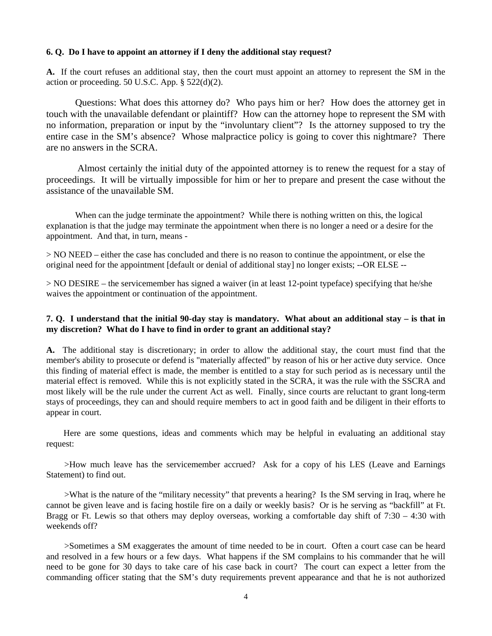#### **6. Q. Do I have to appoint an attorney if I deny the additional stay request?**

**A.** If the court refuses an additional stay, then the court must appoint an attorney to represent the SM in the action or proceeding. 50 U.S.C. App.  $\S$  522(d)(2).

Questions: What does this attorney do? Who pays him or her? How does the attorney get in touch with the unavailable defendant or plaintiff? How can the attorney hope to represent the SM with no information, preparation or input by the "involuntary client"? Is the attorney supposed to try the entire case in the SM's absence? Whose malpractice policy is going to cover this nightmare? There are no answers in the SCRA.

 Almost certainly the initial duty of the appointed attorney is to renew the request for a stay of proceedings. It will be virtually impossible for him or her to prepare and present the case without the assistance of the unavailable SM.

When can the judge terminate the appointment? While there is nothing written on this, the logical explanation is that the judge may terminate the appointment when there is no longer a need or a desire for the appointment. And that, in turn, means -

> NO NEED – either the case has concluded and there is no reason to continue the appointment, or else the original need for the appointment [default or denial of additional stay] no longer exists; --OR ELSE --

> NO DESIRE – the servicemember has signed a waiver (in at least 12-point typeface) specifying that he/she waives the appointment or continuation of the appointment.

#### **7. Q. I understand that the initial 90-day stay is mandatory. What about an additional stay – is that in my discretion? What do I have to find in order to grant an additional stay?**

**A.** The additional stay is discretionary; in order to allow the additional stay, the court must find that the member's ability to prosecute or defend is "materially affected" by reason of his or her active duty service. Once this finding of material effect is made, the member is entitled to a stay for such period as is necessary until the material effect is removed. While this is not explicitly stated in the SCRA, it was the rule with the SSCRA and most likely will be the rule under the current Act as well. Finally, since courts are reluctant to grant long-term stays of proceedings, they can and should require members to act in good faith and be diligent in their efforts to appear in court.

 Here are some questions, ideas and comments which may be helpful in evaluating an additional stay request:

>How much leave has the servicemember accrued? Ask for a copy of his LES (Leave and Earnings Statement) to find out.

>What is the nature of the "military necessity" that prevents a hearing? Is the SM serving in Iraq, where he cannot be given leave and is facing hostile fire on a daily or weekly basis? Or is he serving as "backfill" at Ft. Bragg or Ft. Lewis so that others may deploy overseas, working a comfortable day shift of 7:30 – 4:30 with weekends off?

>Sometimes a SM exaggerates the amount of time needed to be in court. Often a court case can be heard and resolved in a few hours or a few days. What happens if the SM complains to his commander that he will need to be gone for 30 days to take care of his case back in court? The court can expect a letter from the commanding officer stating that the SM's duty requirements prevent appearance and that he is not authorized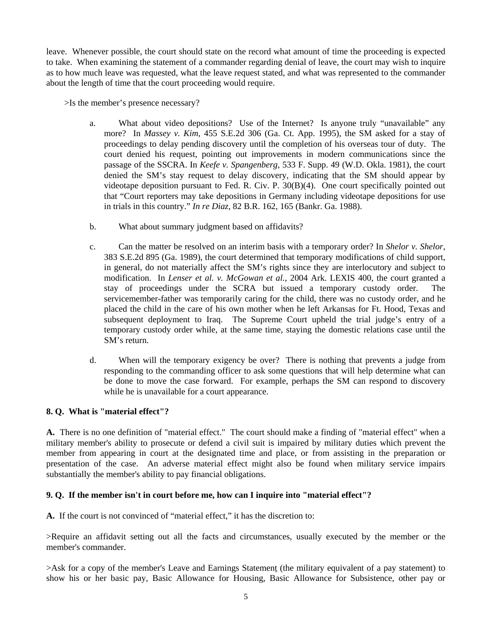leave. Whenever possible, the court should state on the record what amount of time the proceeding is expected to take. When examining the statement of a commander regarding denial of leave, the court may wish to inquire as to how much leave was requested, what the leave request stated, and what was represented to the commander about the length of time that the court proceeding would require.

>Is the member's presence necessary?

- a. What about video depositions? Use of the Internet? Is anyone truly "unavailable" any more? In *Massey v. Kim*, 455 S.E.2d 306 (Ga. Ct. App. 1995), the SM asked for a stay of proceedings to delay pending discovery until the completion of his overseas tour of duty. The court denied his request, pointing out improvements in modern communications since the passage of the SSCRA. In *Keefe v. Spangenberg*, 533 F. Supp. 49 (W.D. Okla. 1981), the court denied the SM's stay request to delay discovery, indicating that the SM should appear by videotape deposition pursuant to Fed. R. Civ. P. 30(B)(4). One court specifically pointed out that "Court reporters may take depositions in Germany including videotape depositions for use in trials in this country." *In re Diaz*, 82 B.R. 162, 165 (Bankr. Ga. 1988).
- b. What about summary judgment based on affidavits?
- c. Can the matter be resolved on an interim basis with a temporary order? In *Shelor v. Shelor*, 383 S.E.2d 895 (Ga. 1989), the court determined that temporary modifications of child support, in general, do not materially affect the SM's rights since they are interlocutory and subject to modification. In *Lenser et al. v. McGowan et al.*, 2004 Ark. LEXIS 400, the court granted a stay of proceedings under the SCRA but issued a temporary custody order. The servicemember-father was temporarily caring for the child, there was no custody order, and he placed the child in the care of his own mother when he left Arkansas for Ft. Hood, Texas and subsequent deployment to Iraq. The Supreme Court upheld the trial judge's entry of a temporary custody order while, at the same time, staying the domestic relations case until the SM's return.
- d. When will the temporary exigency be over? There is nothing that prevents a judge from responding to the commanding officer to ask some questions that will help determine what can be done to move the case forward. For example, perhaps the SM can respond to discovery while he is unavailable for a court appearance.

#### **8. Q. What is "material effect"?**

**A.** There is no one definition of "material effect." The court should make a finding of "material effect" when a military member's ability to prosecute or defend a civil suit is impaired by military duties which prevent the member from appearing in court at the designated time and place, or from assisting in the preparation or presentation of the case. An adverse material effect might also be found when military service impairs substantially the member's ability to pay financial obligations.

#### **9. Q. If the member isn't in court before me, how can I inquire into "material effect"?**

**A.** If the court is not convinced of "material effect," it has the discretion to:

>Require an affidavit setting out all the facts and circumstances, usually executed by the member or the member's commander.

>Ask for a copy of the member's Leave and Earnings Statement (the military equivalent of a pay statement) to show his or her basic pay, Basic Allowance for Housing, Basic Allowance for Subsistence, other pay or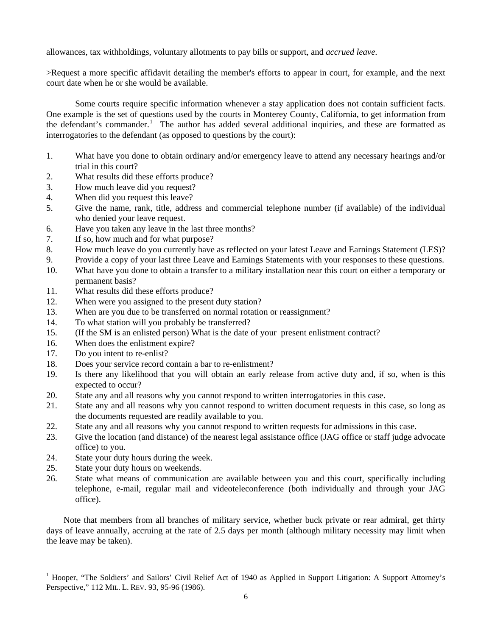allowances, tax withholdings, voluntary allotments to pay bills or support, and *accrued leave*.

>Request a more specific affidavit detailing the member's efforts to appear in court, for example, and the next court date when he or she would be available.

Some courts require specific information whenever a stay application does not contain sufficient facts. One example is the set of questions used by the courts in Monterey County, California, to get information from the defendant's commander.<sup>[1](#page-5-0)</sup> The author has added several additional inquiries, and these are formatted as interrogatories to the defendant (as opposed to questions by the court):

- 1. What have you done to obtain ordinary and/or emergency leave to attend any necessary hearings and/or trial in this court?
- 2. What results did these efforts produce?
- 3. How much leave did you request?
- 4. When did you request this leave?
- 5. Give the name, rank, title, address and commercial telephone number (if available) of the individual who denied your leave request.
- 6. Have you taken any leave in the last three months?
- 7. If so, how much and for what purpose?
- 8. How much leave do you currently have as reflected on your latest Leave and Earnings Statement (LES)?
- 9. Provide a copy of your last three Leave and Earnings Statements with your responses to these questions.
- 10. What have you done to obtain a transfer to a military installation near this court on either a temporary or permanent basis?
- 11. What results did these efforts produce?
- 12. When were you assigned to the present duty station?
- 13. When are you due to be transferred on normal rotation or reassignment?
- 14. To what station will you probably be transferred?
- 15. (If the SM is an enlisted person) What is the date of your present enlistment contract?
- 16. When does the enlistment expire?
- 17. Do you intent to re-enlist?
- 18. Does your service record contain a bar to re-enlistment?
- 19. Is there any likelihood that you will obtain an early release from active duty and, if so, when is this expected to occur?
- 20. State any and all reasons why you cannot respond to written interrogatories in this case.
- 21. State any and all reasons why you cannot respond to written document requests in this case, so long as the documents requested are readily available to you.
- 22. State any and all reasons why you cannot respond to written requests for admissions in this case.
- 23. Give the location (and distance) of the nearest legal assistance office (JAG office or staff judge advocate office) to you.
- 24. State your duty hours during the week.
- 25. State your duty hours on weekends.

 $\overline{a}$ 

26. State what means of communication are available between you and this court, specifically including telephone, e-mail, regular mail and videoteleconference (both individually and through your JAG office).

 Note that members from all branches of military service, whether buck private or rear admiral, get thirty days of leave annually, accruing at the rate of 2.5 days per month (although military necessity may limit when the leave may be taken).

<span id="page-5-0"></span><sup>1</sup> Hooper, "The Soldiers' and Sailors' Civil Relief Act of 1940 as Applied in Support Litigation: A Support Attorney's Perspective," 112 MIL. L. REV. 93, 95-96 (1986).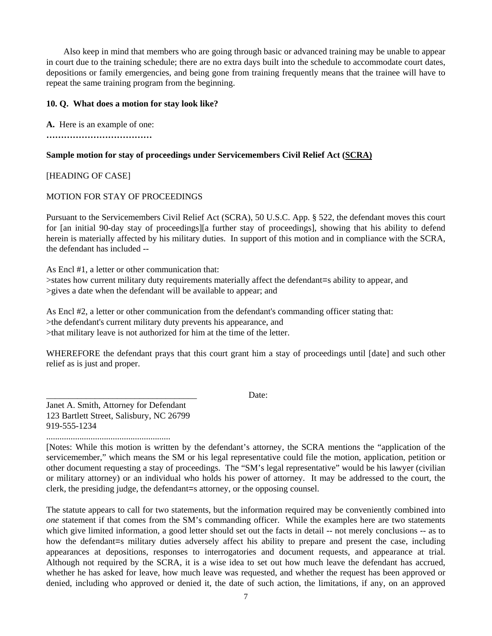Also keep in mind that members who are going through basic or advanced training may be unable to appear in court due to the training schedule; there are no extra days built into the schedule to accommodate court dates, depositions or family emergencies, and being gone from training frequently means that the trainee will have to repeat the same training program from the beginning.

#### **10. Q. What does a motion for stay look like?**

**A.** Here is an example of one:

**………………………………** 

# **Sample motion for stay of proceedings under Servicemembers Civil Relief Act (SCRA)**

# [HEADING OF CASE]

# MOTION FOR STAY OF PROCEEDINGS

Pursuant to the Servicemembers Civil Relief Act (SCRA), 50 U.S.C. App. § 522, the defendant moves this court for [an initial 90-day stay of proceedings][a further stay of proceedings], showing that his ability to defend herein is materially affected by his military duties. In support of this motion and in compliance with the SCRA, the defendant has included --

As Encl #1, a letter or other communication that: >states how current military duty requirements materially affect the defendant=s ability to appear, and >gives a date when the defendant will be available to appear; and

As Encl #2, a letter or other communication from the defendant's commanding officer stating that: >the defendant's current military duty prevents his appearance, and >that military leave is not authorized for him at the time of the letter.

WHEREFORE the defendant prays that this court grant him a stay of proceedings until [date] and such other relief as is just and proper.

\_\_\_\_\_\_\_\_\_\_\_\_\_\_\_\_\_\_\_\_\_\_\_\_\_\_\_\_\_\_\_\_\_\_ Date:

Janet A. Smith, Attorney for Defendant 123 Bartlett Street, Salisbury, NC 26799 919-555-1234

........................................................

[Notes: While this motion is written by the defendant's attorney, the SCRA mentions the "application of the servicemember," which means the SM or his legal representative could file the motion, application, petition or other document requesting a stay of proceedings. The "SM's legal representative" would be his lawyer (civilian or military attorney) or an individual who holds his power of attorney. It may be addressed to the court, the clerk, the presiding judge, the defendant=s attorney, or the opposing counsel.

The statute appears to call for two statements, but the information required may be conveniently combined into *one* statement if that comes from the SM's commanding officer. While the examples here are two statements which give limited information, a good letter should set out the facts in detail -- not merely conclusions -- as to how the defendant=s military duties adversely affect his ability to prepare and present the case, including appearances at depositions, responses to interrogatories and document requests, and appearance at trial. Although not required by the SCRA, it is a wise idea to set out how much leave the defendant has accrued, whether he has asked for leave, how much leave was requested, and whether the request has been approved or denied, including who approved or denied it, the date of such action, the limitations, if any, on an approved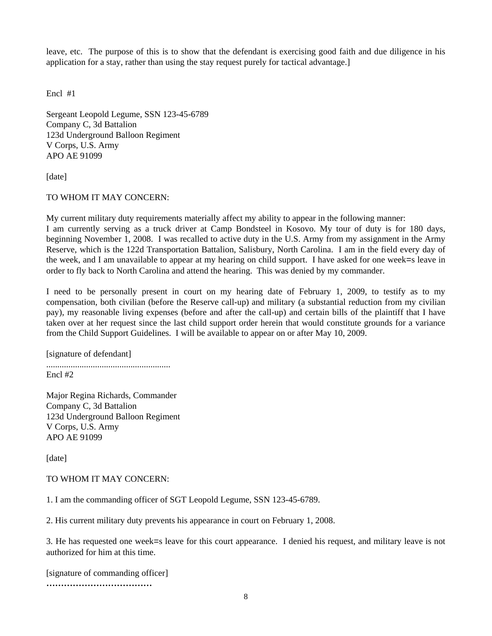leave, etc. The purpose of this is to show that the defendant is exercising good faith and due diligence in his application for a stay, rather than using the stay request purely for tactical advantage.]

Encl #1

Sergeant Leopold Legume, SSN 123-45-6789 Company C, 3d Battalion 123d Underground Balloon Regiment V Corps, U.S. Army APO AE 91099

[date]

#### TO WHOM IT MAY CONCERN:

My current military duty requirements materially affect my ability to appear in the following manner: I am currently serving as a truck driver at Camp Bondsteel in Kosovo. My tour of duty is for 180 days, beginning November 1, 2008. I was recalled to active duty in the U.S. Army from my assignment in the Army Reserve, which is the 122d Transportation Battalion, Salisbury, North Carolina. I am in the field every day of the week, and I am unavailable to appear at my hearing on child support. I have asked for one week=s leave in order to fly back to North Carolina and attend the hearing. This was denied by my commander.

I need to be personally present in court on my hearing date of February 1, 2009, to testify as to my compensation, both civilian (before the Reserve call-up) and military (a substantial reduction from my civilian pay), my reasonable living expenses (before and after the call-up) and certain bills of the plaintiff that I have taken over at her request since the last child support order herein that would constitute grounds for a variance from the Child Support Guidelines. I will be available to appear on or after May 10, 2009.

[signature of defendant] ........................................................ Encl #2

Major Regina Richards, Commander Company C, 3d Battalion 123d Underground Balloon Regiment V Corps, U.S. Army APO AE 91099

[date]

#### TO WHOM IT MAY CONCERN:

1. I am the commanding officer of SGT Leopold Legume, SSN 123-45-6789.

2. His current military duty prevents his appearance in court on February 1, 2008.

3. He has requested one week=s leave for this court appearance. I denied his request, and military leave is not authorized for him at this time.

[signature of commanding officer] **………………………………**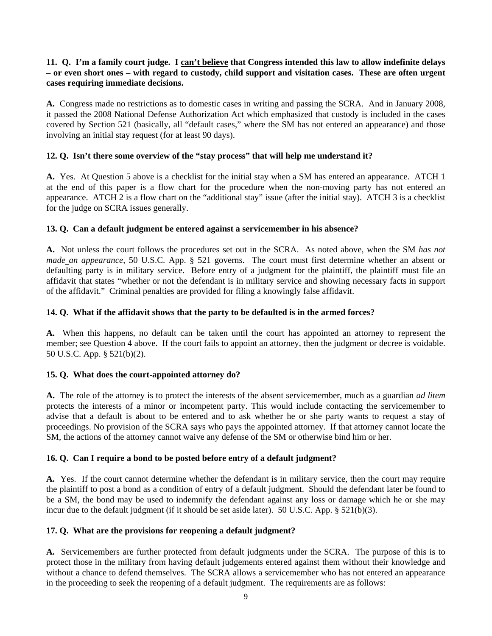# **11. Q. I'm a family court judge. I can't believe that Congress intended this law to allow indefinite delays – or even short ones – with regard to custody, child support and visitation cases. These are often urgent cases requiring immediate decisions.**

**A.** Congress made no restrictions as to domestic cases in writing and passing the SCRA. And in January 2008, it passed the 2008 National Defense Authorization Act which emphasized that custody is included in the cases covered by Section 521 (basically, all "default cases," where the SM has not entered an appearance) and those involving an initial stay request (for at least 90 days).

# **12. Q. Isn't there some overview of the "stay process" that will help me understand it?**

**A.** Yes. At Question 5 above is a checklist for the initial stay when a SM has entered an appearance. ATCH 1 at the end of this paper is a flow chart for the procedure when the non-moving party has not entered an appearance. ATCH 2 is a flow chart on the "additional stay" issue (after the initial stay). ATCH 3 is a checklist for the judge on SCRA issues generally.

#### **13. Q. Can a default judgment be entered against a servicemember in his absence?**

**A.** Not unless the court follows the procedures set out in the SCRA. As noted above, when the SM *has not made an appearance*, 50 U.S.C. App. § 521 governs. The court must first determine whether an absent or defaulting party is in military service. Before entry of a judgment for the plaintiff, the plaintiff must file an affidavit that states "whether or not the defendant is in military service and showing necessary facts in support of the affidavit." Criminal penalties are provided for filing a knowingly false affidavit.

# **14. Q. What if the affidavit shows that the party to be defaulted is in the armed forces?**

**A.** When this happens, no default can be taken until the court has appointed an attorney to represent the member; see Question 4 above. If the court fails to appoint an attorney, then the judgment or decree is voidable. 50 U.S.C. App. § 521(b)(2).

#### **15. Q. What does the court-appointed attorney do?**

**A.** The role of the attorney is to protect the interests of the absent servicemember, much as a guardian *ad litem* protects the interests of a minor or incompetent party. This would include contacting the servicemember to advise that a default is about to be entered and to ask whether he or she party wants to request a stay of proceedings. No provision of the SCRA says who pays the appointed attorney. If that attorney cannot locate the SM, the actions of the attorney cannot waive any defense of the SM or otherwise bind him or her.

#### **16. Q. Can I require a bond to be posted before entry of a default judgment?**

**A.** Yes. If the court cannot determine whether the defendant is in military service, then the court may require the plaintiff to post a bond as a condition of entry of a default judgment. Should the defendant later be found to be a SM, the bond may be used to indemnify the defendant against any loss or damage which he or she may incur due to the default judgment (if it should be set aside later). 50 U.S.C. App. § 521(b)(3).

#### **17. Q. What are the provisions for reopening a default judgment?**

**A.** Servicemembers are further protected from default judgments under the SCRA. The purpose of this is to protect those in the military from having default judgements entered against them without their knowledge and without a chance to defend themselves. The SCRA allows a servicemember who has not entered an appearance in the proceeding to seek the reopening of a default judgment. The requirements are as follows: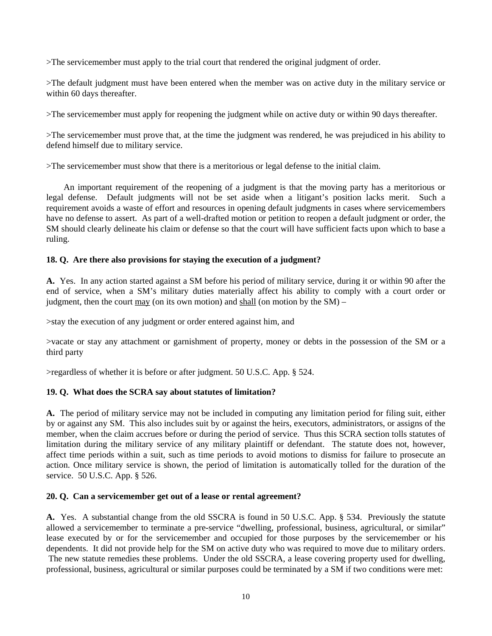>The servicemember must apply to the trial court that rendered the original judgment of order.

>The default judgment must have been entered when the member was on active duty in the military service or within 60 days thereafter.

>The servicemember must apply for reopening the judgment while on active duty or within 90 days thereafter.

>The servicemember must prove that, at the time the judgment was rendered, he was prejudiced in his ability to defend himself due to military service.

>The servicemember must show that there is a meritorious or legal defense to the initial claim.

 An important requirement of the reopening of a judgment is that the moving party has a meritorious or legal defense. Default judgments will not be set aside when a litigant's position lacks merit. Such a requirement avoids a waste of effort and resources in opening default judgments in cases where servicemembers have no defense to assert. As part of a well-drafted motion or petition to reopen a default judgment or order, the SM should clearly delineate his claim or defense so that the court will have sufficient facts upon which to base a ruling.

# **18. Q. Are there also provisions for staying the execution of a judgment?**

**A.** Yes. In any action started against a SM before his period of military service, during it or within 90 after the end of service, when a SM's military duties materially affect his ability to comply with a court order or judgment, then the court may (on its own motion) and shall (on motion by the SM) –

>stay the execution of any judgment or order entered against him, and

>vacate or stay any attachment or garnishment of property, money or debts in the possession of the SM or a third party

>regardless of whether it is before or after judgment. 50 U.S.C. App. § 524.

# **19. Q. What does the SCRA say about statutes of limitation?**

**A.** The period of military service may not be included in computing any limitation period for filing suit, either by or against any SM. This also includes suit by or against the heirs, executors, administrators, or assigns of the member, when the claim accrues before or during the period of service. Thus this SCRA section tolls statutes of limitation during the military service of any military plaintiff or defendant. The statute does not, however, affect time periods within a suit, such as time periods to avoid motions to dismiss for failure to prosecute an action. Once military service is shown, the period of limitation is automatically tolled for the duration of the service. 50 U.S.C. App. § 526.

#### **20. Q. Can a servicemember get out of a lease or rental agreement?**

**A.** Yes. A substantial change from the old SSCRA is found in 50 U.S.C. App. § 534. Previously the statute allowed a servicemember to terminate a pre-service "dwelling, professional, business, agricultural, or similar" lease executed by or for the servicemember and occupied for those purposes by the servicemember or his dependents. It did not provide help for the SM on active duty who was required to move due to military orders. The new statute remedies these problems. Under the old SSCRA, a lease covering property used for dwelling, professional, business, agricultural or similar purposes could be terminated by a SM if two conditions were met: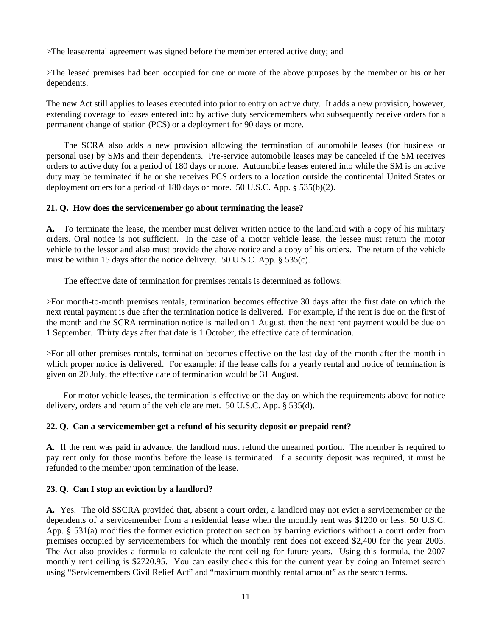>The lease/rental agreement was signed before the member entered active duty; and

>The leased premises had been occupied for one or more of the above purposes by the member or his or her dependents.

The new Act still applies to leases executed into prior to entry on active duty. It adds a new provision, however, extending coverage to leases entered into by active duty servicemembers who subsequently receive orders for a permanent change of station (PCS) or a deployment for 90 days or more.

 The SCRA also adds a new provision allowing the termination of automobile leases (for business or personal use) by SMs and their dependents. Pre-service automobile leases may be canceled if the SM receives orders to active duty for a period of 180 days or more. Automobile leases entered into while the SM is on active duty may be terminated if he or she receives PCS orders to a location outside the continental United States or deployment orders for a period of 180 days or more. 50 U.S.C. App. § 535(b)(2).

#### **21. Q. How does the servicemember go about terminating the lease?**

**A.** To terminate the lease, the member must deliver written notice to the landlord with a copy of his military orders. Oral notice is not sufficient. In the case of a motor vehicle lease, the lessee must return the motor vehicle to the lessor and also must provide the above notice and a copy of his orders. The return of the vehicle must be within 15 days after the notice delivery. 50 U.S.C. App. § 535(c).

The effective date of termination for premises rentals is determined as follows:

>For month-to-month premises rentals, termination becomes effective 30 days after the first date on which the next rental payment is due after the termination notice is delivered. For example, if the rent is due on the first of the month and the SCRA termination notice is mailed on 1 August, then the next rent payment would be due on 1 September. Thirty days after that date is 1 October, the effective date of termination.

>For all other premises rentals, termination becomes effective on the last day of the month after the month in which proper notice is delivered. For example: if the lease calls for a yearly rental and notice of termination is given on 20 July, the effective date of termination would be 31 August.

 For motor vehicle leases, the termination is effective on the day on which the requirements above for notice delivery, orders and return of the vehicle are met. 50 U.S.C. App. § 535(d).

# **22. Q. Can a servicemember get a refund of his security deposit or prepaid rent?**

**A.** If the rent was paid in advance, the landlord must refund the unearned portion. The member is required to pay rent only for those months before the lease is terminated. If a security deposit was required, it must be refunded to the member upon termination of the lease.

#### **23. Q. Can I stop an eviction by a landlord?**

**A.** Yes. The old SSCRA provided that, absent a court order, a landlord may not evict a servicemember or the dependents of a servicemember from a residential lease when the monthly rent was \$1200 or less. 50 U.S.C. App. § 531(a) modifies the former eviction protection section by barring evictions without a court order from premises occupied by servicemembers for which the monthly rent does not exceed \$2,400 for the year 2003. The Act also provides a formula to calculate the rent ceiling for future years. Using this formula, the 2007 monthly rent ceiling is \$2720.95. You can easily check this for the current year by doing an Internet search using "Servicemembers Civil Relief Act" and "maximum monthly rental amount" as the search terms.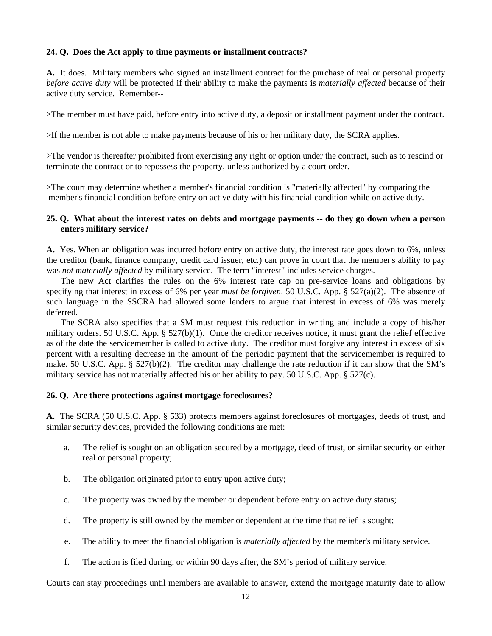#### **24. Q. Does the Act apply to time payments or installment contracts?**

**A.** It does. Military members who signed an installment contract for the purchase of real or personal property *before active duty* will be protected if their ability to make the payments is *materially affected* because of their active duty service. Remember--

>The member must have paid, before entry into active duty, a deposit or installment payment under the contract.

>If the member is not able to make payments because of his or her military duty, the SCRA applies.

>The vendor is thereafter prohibited from exercising any right or option under the contract, such as to rescind or terminate the contract or to repossess the property, unless authorized by a court order.

>The court may determine whether a member's financial condition is "materially affected" by comparing the member's financial condition before entry on active duty with his financial condition while on active duty.

#### **25. Q. What about the interest rates on debts and mortgage payments -- do they go down when a person enters military service?**

**A.** Yes. When an obligation was incurred before entry on active duty, the interest rate goes down to 6%, unless the creditor (bank, finance company, credit card issuer, etc.) can prove in court that the member's ability to pay was *not materially affected* by military service. The term "interest" includes service charges.

The new Act clarifies the rules on the 6% interest rate cap on pre-service loans and obligations by specifying that interest in excess of 6% per year *must be forgiven*. 50 U.S.C. App. § 527(a)(2). The absence of such language in the SSCRA had allowed some lenders to argue that interest in excess of 6% was merely deferred.

The SCRA also specifies that a SM must request this reduction in writing and include a copy of his/her military orders. 50 U.S.C. App. § 527(b)(1). Once the creditor receives notice, it must grant the relief effective as of the date the servicemember is called to active duty. The creditor must forgive any interest in excess of six percent with a resulting decrease in the amount of the periodic payment that the servicemember is required to make. 50 U.S.C. App. § 527(b)(2). The creditor may challenge the rate reduction if it can show that the SM's military service has not materially affected his or her ability to pay. 50 U.S.C. App. § 527(c).

#### **26. Q. Are there protections against mortgage foreclosures?**

**A.** The SCRA (50 U.S.C. App. § 533) protects members against foreclosures of mortgages, deeds of trust, and similar security devices, provided the following conditions are met:

- a. The relief is sought on an obligation secured by a mortgage, deed of trust, or similar security on either real or personal property;
- b. The obligation originated prior to entry upon active duty;
- c. The property was owned by the member or dependent before entry on active duty status;
- d. The property is still owned by the member or dependent at the time that relief is sought;
- e. The ability to meet the financial obligation is *materially affected* by the member's military service.
- f. The action is filed during, or within 90 days after, the SM's period of military service.

Courts can stay proceedings until members are available to answer, extend the mortgage maturity date to allow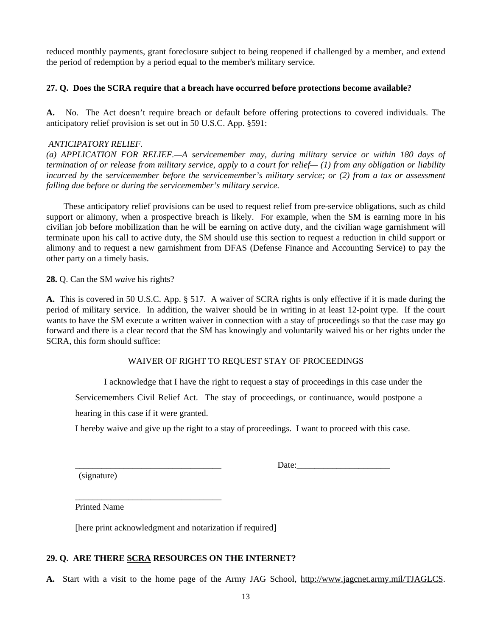reduced monthly payments, grant foreclosure subject to being reopened if challenged by a member, and extend the period of redemption by a period equal to the member's military service.

#### **27. Q. Does the SCRA require that a breach have occurred before protections become available?**

**A.** No. The Act doesn't require breach or default before offering protections to covered individuals. The anticipatory relief provision is set out in 50 U.S.C. App. §591:

#### *ANTICIPATORY RELIEF.*

*(a) APPLICATION FOR RELIEF.—A servicemember may, during military service or within 180 days of termination of or release from military service, apply to a court for relief— (1) from any obligation or liability incurred by the servicemember before the servicemember's military service; or (2) from a tax or assessment falling due before or during the servicemember's military service.* 

 These anticipatory relief provisions can be used to request relief from pre-service obligations, such as child support or alimony, when a prospective breach is likely. For example, when the SM is earning more in his civilian job before mobilization than he will be earning on active duty, and the civilian wage garnishment will terminate upon his call to active duty, the SM should use this section to request a reduction in child support or alimony and to request a new garnishment from DFAS (Defense Finance and Accounting Service) to pay the other party on a timely basis.

**28.** Q. Can the SM *waive* his rights?

**A.** This is covered in 50 U.S.C. App. § 517. A waiver of SCRA rights is only effective if it is made during the period of military service. In addition, the waiver should be in writing in at least 12-point type. If the court wants to have the SM execute a written waiver in connection with a stay of proceedings so that the case may go forward and there is a clear record that the SM has knowingly and voluntarily waived his or her rights under the SCRA, this form should suffice:

#### WAIVER OF RIGHT TO REQUEST STAY OF PROCEEDINGS

I acknowledge that I have the right to request a stay of proceedings in this case under the

Servicemembers Civil Relief Act. The stay of proceedings, or continuance, would postpone a

hearing in this case if it were granted.

\_\_\_\_\_\_\_\_\_\_\_\_\_\_\_\_\_\_\_\_\_\_\_\_\_\_\_\_\_\_\_\_\_

I hereby waive and give up the right to a stay of proceedings. I want to proceed with this case.

(signature)

 $Date:$ 

Printed Name

[here print acknowledgment and notarization if required]

# **29. Q. ARE THERE SCRA RESOURCES ON THE INTERNET?**

**A.** Start with a visit to the home page of the Army JAG School, [http://www.jagcnet.army.mil/TJAGLCS.](http://www.jagcnet.army.mil/TJAGSA)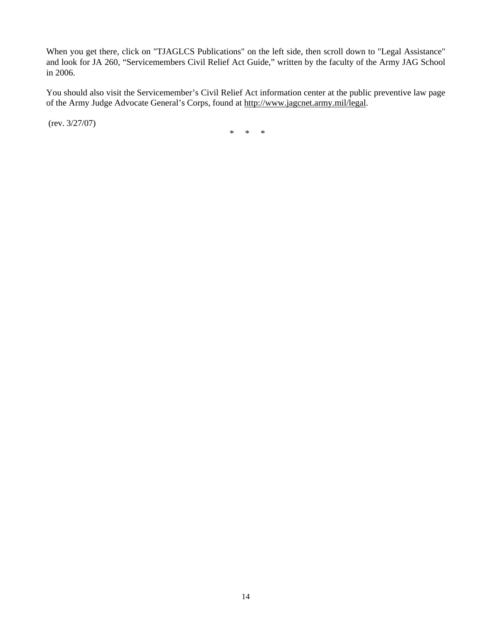When you get there, click on "TJAGLCS Publications" on the left side, then scroll down to "Legal Assistance" and look for JA 260, "Servicemembers Civil Relief Act Guide," written by the faculty of the Army JAG School in 2006.

You should also visit the Servicemember's Civil Relief Act information center at the public preventive law page of the Army Judge Advocate General's Corps, found at [http://www.jagcnet.army.mil/legal.](http://www.jagcnet.army.mil/legal)

(rev. 3/27/07)

\* \* \*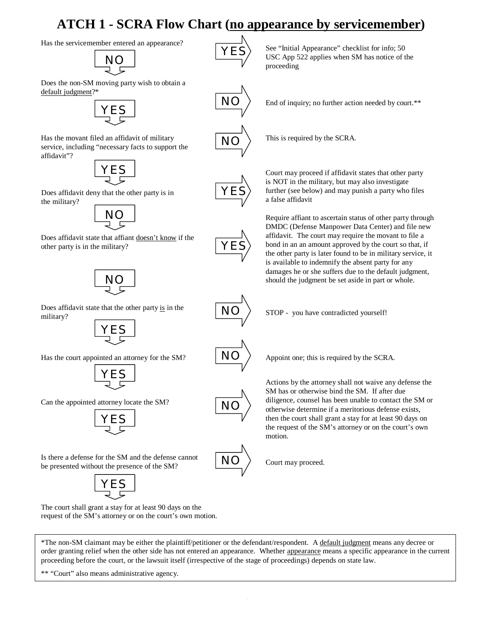# **ATCH 1 - SCRA Flow Chart (no appearance by servicemember)**

Has the servicemember entered an appearance?<br>  $\overrightarrow{V}$  See "Initial Appearance" checklist for info; 50

NO

Does the non-SM moving party wish to obtain a default judgment?\*



Has the movant filed an affidavit of military service, including "necessary facts to support the affidavit"?



Does affidavit deny that the other party is in the military?



Does affidavit state that affiant doesn't know if the other party is in the military?



Does affidavit state that the other party is in the military?



Has the court appointed an attorney for the SM?



Can the appointed attorney locate the SM?



Is there a defense for the SM and the defense cannot be presented without the presence of the SM?



The court shall grant a stay for at least 90 days on the request of the SM's attorney or on the court's own motion. USC App 522 applies when SM has notice of the proceeding

End of inquiry; no further action needed by court.\*\*

This is required by the SCRA.

Court may proceed if affidavit states that other party is NOT in the military, but may also investigate further (see below) and may punish a party who files a false affidavit

Require affiant to ascertain status of other party through DMDC (Defense Manpower Data Center) and file new affidavit. The court may require the movant to file a bond in an an amount approved by the court so that, if the other party is later found to be in military service, it is available to indemnify the absent party for any damages he or she suffers due to the default judgment, should the judgment be set aside in part or whole.

NO

NO

NO

NO

STOP - you have contradicted yourself!

Appoint one; this is required by the SCRA.

Actions by the attorney shall not waive any defense the SM has or otherwise bind the SM. If after due diligence, counsel has been unable to contact the SM or otherwise determine if a meritorious defense exists, then the court shall grant a stay for at least 90 days on the request of the SM's attorney or on the court's own motion.

Court may proceed.

\*The non-SM claimant may be either the plaintiff/petitioner or the defendant/respondent. A default judgment means any decree or order granting relief when the other side has not entered an appearance. Whether appearance means a specific appearance in the current proceeding before the court, or the lawsuit itself (irrespective of the stage of proceedings) depends on state law.

\*\* "Court" also means administrative agency.



NO

NO

YES

YES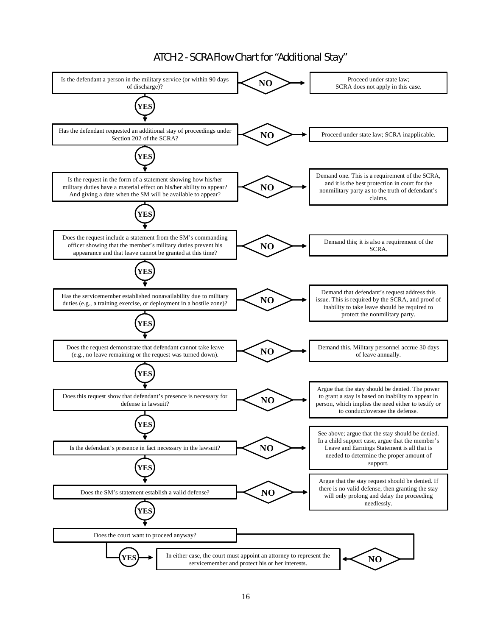# ATCH 2 - SCRA Flow Chart for "Additional Stay"

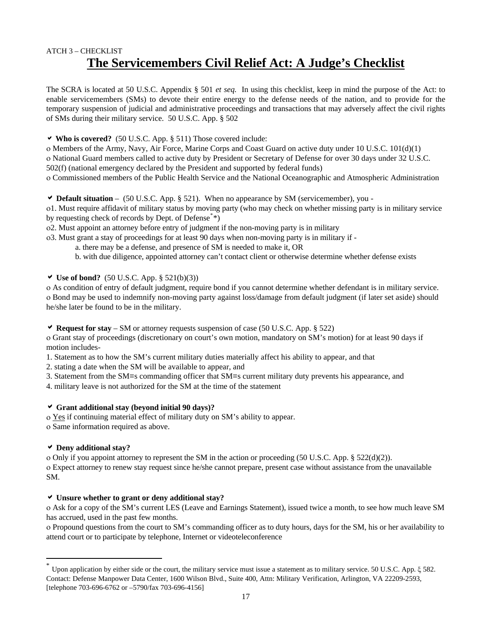# ATCH 3 – CHECKLIST **The Servicemembers Civil Relief Act: A Judge's Checklist**

The SCRA is located at 50 U.S.C. Appendix § 501 *et seq.* In using this checklist, keep in mind the purpose of the Act: to enable servicemembers (SMs) to devote their entire energy to the defense needs of the nation, and to provide for the temporary suspension of judicial and administrative proceedings and transactions that may adversely affect the civil rights of SMs during their military service. 50 U.S.C. App. § 502

a **Who is covered?** (50 U.S.C. App. § 511) Those covered include:

ο Members of the Army, Navy, Air Force, Marine Corps and Coast Guard on active duty under 10 U.S.C. 101(d)(1) ο National Guard members called to active duty by President or Secretary of Defense for over 30 days under 32 U.S.C. 502(f) (national emergency declared by the President and supported by federal funds) ο Commissioned members of the Public Health Service and the National Oceanographic and Atmospheric Administration

a **Default situation** – (50 U.S.C. App. § 521). When no appearance by SM (servicemember), you -

ο1. Must require affidavit of military status by moving party (who may check on whether missing party is in military service by requesting check of records by Dept. of Defense<sup>[\\*](#page-16-0)\*</sup>)

ο2. Must appoint an attorney before entry of judgment if the non-moving party is in military

ο3. Must grant a stay of proceedings for at least 90 days when non-moving party is in military if -

a. there may be a defense, and presence of SM is needed to make it, OR

b. with due diligence, appointed attorney can't contact client or otherwise determine whether defense exists

 $\vee$  **Use of bond?** (50 U.S.C. App. § 521(b)(3))

ο As condition of entry of default judgment, require bond if you cannot determine whether defendant is in military service. ο Bond may be used to indemnify non-moving party against loss/damage from default judgment (if later set aside) should he/she later be found to be in the military.

a **Request for stay** – SM or attorney requests suspension of case (50 U.S.C. App. § 522)

ο Grant stay of proceedings (discretionary on court's own motion, mandatory on SM's motion) for at least 90 days if motion includes-

1. Statement as to how the SM's current military duties materially affect his ability to appear, and that

2. stating a date when the SM will be available to appear, and

3. Statement from the SM=s commanding officer that SM=s current military duty prevents his appearance, and

4. military leave is not authorized for the SM at the time of the statement

#### a **Grant additional stay (beyond initial 90 days)?**

ο Yes if continuing material effect of military duty on SM's ability to appear. ο Same information required as above.

#### a **Deny additional stay?**

 $\overline{a}$ 

ο Only if you appoint attorney to represent the SM in the action or proceeding (50 U.S.C. App. § 522(d)(2)). ο Expect attorney to renew stay request since he/she cannot prepare, present case without assistance from the unavailable SM.

#### a **Unsure whether to grant or deny additional stay?**

ο Ask for a copy of the SM's current LES (Leave and Earnings Statement), issued twice a month, to see how much leave SM has accrued, used in the past few months.

ο Propound questions from the court to SM's commanding officer as to duty hours, days for the SM, his or her availability to attend court or to participate by telephone, Internet or videoteleconference

<span id="page-16-0"></span><sup>\*</sup> Upon application by either side or the court, the military service must issue a statement as to military service. 50 U.S.C. App. ξ 582. Contact: Defense Manpower Data Center, 1600 Wilson Blvd., Suite 400, Attn: Military Verification, Arlington, VA 22209-2593, [telephone 703-696-6762 or –5790/fax 703-696-4156]